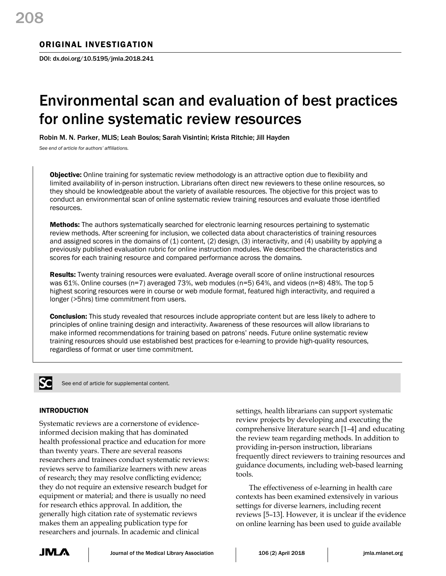# ORIGINAL INVESTIGATION

DOI: dx.doi.org/10.5195/jmla.2018.241

# Environmental scan and evaluation of best practices for online systematic review resources

Robin M. N. Parker, MLIS; Leah Boulos; Sarah Visintini; Krista Ritchie; Jill Hayden

*See end of article for authors' affiliations.*

**Objective:** Online training for systematic review methodology is an attractive option due to flexibility and limited availability of in-person instruction. Librarians often direct new reviewers to these online resources, so they should be knowledgeable about the variety of available resources. The objective for this project was to conduct an environmental scan of online systematic review training resources and evaluate those identified resources.

Methods: The authors systematically searched for electronic learning resources pertaining to systematic review methods. After screening for inclusion, we collected data about characteristics of training resources and assigned scores in the domains of (1) content, (2) design, (3) interactivity, and (4) usability by applying a previously published evaluation rubric for online instruction modules. We described the characteristics and scores for each training resource and compared performance across the domains.

Results: Twenty training resources were evaluated. Average overall score of online instructional resources was 61%. Online courses (n=7) averaged 73%, web modules (n=5) 64%, and videos (n=8) 48%. The top 5 highest scoring resources were in course or web module format, featured high interactivity, and required a longer (>5hrs) time commitment from users.

**Conclusion:** This study revealed that resources include appropriate content but are less likely to adhere to principles of online training design and interactivity. Awareness of these resources will allow librarians to make informed recommendations for training based on patrons' needs. Future online systematic review training resources should use established best practices for e-learning to provide high-quality resources, regardless of format or user time commitment.



See end of article for supplemental content.

# INTRODUCTION

Systematic reviews are a cornerstone of evidenceinformed decision making that has dominated health professional practice and education for more than twenty years. There are several reasons researchers and trainees conduct systematic reviews: reviews serve to familiarize learners with new areas of research; they may resolve conflicting evidence; they do not require an extensive research budget for equipment or material; and there is usually no need for research ethics approval. In addition, the generally high citation rate of systematic reviews makes them an appealing publication type for researchers and journals. In academic and clinical

settings, health librarians can support systematic review projects by developing and executing the comprehensive literature search [1–4] and educating the review team regarding methods. In addition to providing in-person instruction, librarians frequently direct reviewers to training resources and guidance documents, including web-based learning tools.

The effectiveness of e-learning in health care contexts has been examined extensively in various settings for diverse learners, including recent reviews [5–13]. However, it is unclear if the evidence on online learning has been used to guide available

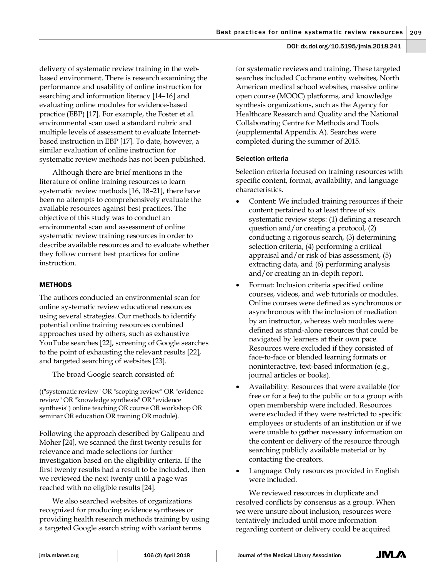delivery of systematic review training in the webbased environment. There is research examining the performance and usability of online instruction for searching and information literacy [14–16] and evaluating online modules for evidence-based practice (EBP) [17]. For example, the Foster et al. environmental scan used a standard rubric and multiple levels of assessment to evaluate Internetbased instruction in EBP [17]. To date, however, a similar evaluation of online instruction for systematic review methods has not been published.

Although there are brief mentions in the literature of online training resources to learn systematic review methods [16, 18–21], there have been no attempts to comprehensively evaluate the available resources against best practices. The objective of this study was to conduct an environmental scan and assessment of online systematic review training resources in order to describe available resources and to evaluate whether they follow current best practices for online instruction.

# METHODS

The authors conducted an environmental scan for online systematic review educational resources using several strategies. Our methods to identify potential online training resources combined approaches used by others, such as exhaustive YouTube searches [22], screening of Google searches to the point of exhausting the relevant results [22], and targeted searching of websites [23].

The broad Google search consisted of:

(("systematic review" OR "scoping review" OR "evidence review" OR "knowledge synthesis" OR "evidence synthesis") online teaching OR course OR workshop OR seminar OR education OR training OR module).

Following the approach described by Galipeau and Moher [24], we scanned the first twenty results for relevance and made selections for further investigation based on the eligibility criteria. If the first twenty results had a result to be included, then we reviewed the next twenty until a page was reached with no eligible results [24].

We also searched websites of organizations recognized for producing evidence syntheses or providing health research methods training by using a targeted Google search string with variant terms

for systematic reviews and training. These targeted searches included Cochrane entity websites, North American medical school websites, massive online open course (MOOC) platforms, and knowledge synthesis organizations, such as the Agency for Healthcare Research and Quality and the National Collaborating Centre for Methods and Tools (supplemental Appendix A). Searches were completed during the summer of 2015.

# Selection criteria

Selection criteria focused on training resources with specific content, format, availability, and language characteristics.

- Content: We included training resources if their content pertained to at least three of six systematic review steps: (1) defining a research question and/or creating a protocol, (2) conducting a rigorous search, (3) determining selection criteria, (4) performing a critical appraisal and/or risk of bias assessment, (5) extracting data, and (6) performing analysis and/or creating an in-depth report.
- Format: Inclusion criteria specified online courses, videos, and web tutorials or modules. Online courses were defined as synchronous or asynchronous with the inclusion of mediation by an instructor, whereas web modules were defined as stand-alone resources that could be navigated by learners at their own pace. Resources were excluded if they consisted of face-to-face or blended learning formats or noninteractive, text-based information (e.g., journal articles or books).
- Availability: Resources that were available (for free or for a fee) to the public or to a group with open membership were included. Resources were excluded if they were restricted to specific employees or students of an institution or if we were unable to gather necessary information on the content or delivery of the resource through searching publicly available material or by contacting the creators.
- Language: Only resources provided in English were included.

We reviewed resources in duplicate and resolved conflicts by consensus as a group. When we were unsure about inclusion, resources were tentatively included until more information regarding content or delivery could be acquired

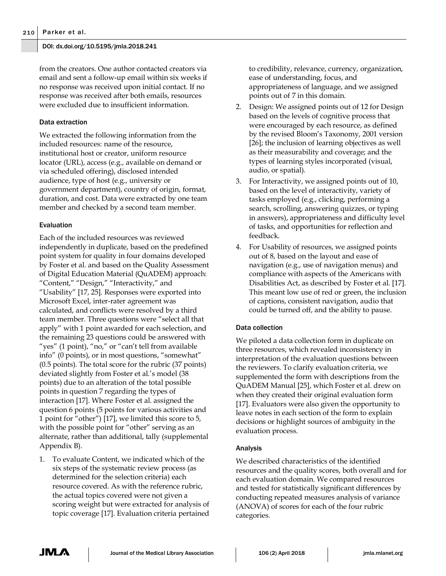from the creators. One author contacted creators via email and sent a follow-up email within six weeks if no response was received upon initial contact. If no response was received after both emails, resources were excluded due to insufficient information.

# Data extraction

We extracted the following information from the included resources: name of the resource, institutional host or creator, uniform resource locator (URL), access (e.g., available on demand or via scheduled offering), disclosed intended audience, type of host (e.g., university or government department), country of origin, format, duration, and cost. Data were extracted by one team member and checked by a second team member.

# Evaluation

Each of the included resources was reviewed independently in duplicate, based on the predefined point system for quality in four domains developed by Foster et al. and based on the Quality Assessment of Digital Education Material (QuADEM) approach: "Content," "Design," "Interactivity," and "Usability" [17, 25]. Responses were exported into Microsoft Excel, inter-rater agreement was calculated, and conflicts were resolved by a third team member. Three questions were "select all that apply" with 1 point awarded for each selection, and the remaining 23 questions could be answered with "yes" (1 point), "no," or "can't tell from available info" (0 points), or in most questions, "somewhat" (0.5 points). The total score for the rubric (37 points) deviated slightly from Foster et al.'s model (38 points) due to an alteration of the total possible points in question 7 regarding the types of interaction [17]. Where Foster et al. assigned the question 6 points (5 points for various activities and 1 point for "other") [17], we limited this score to 5, with the possible point for "other" serving as an alternate, rather than additional, tally (supplemental Appendix B).

1. To evaluate Content, we indicated which of the six steps of the systematic review process (as determined for the selection criteria) each resource covered. As with the reference rubric, the actual topics covered were not given a scoring weight but were extracted for analysis of topic coverage [17]. Evaluation criteria pertained

to credibility, relevance, currency, organization, ease of understanding, focus, and appropriateness of language, and we assigned points out of 7 in this domain.

- 2. Design: We assigned points out of 12 for Design based on the levels of cognitive process that were encouraged by each resource, as defined by the revised Bloom's Taxonomy, 2001 version [26]; the inclusion of learning objectives as well as their measurability and coverage; and the types of learning styles incorporated (visual, audio, or spatial).
- 3. For Interactivity, we assigned points out of 10, based on the level of interactivity, variety of tasks employed (e.g., clicking, performing a search, scrolling, answering quizzes, or typing in answers), appropriateness and difficulty level of tasks, and opportunities for reflection and feedback.
- 4. For Usability of resources, we assigned points out of 8, based on the layout and ease of navigation (e.g., use of navigation menus) and compliance with aspects of the Americans with Disabilities Act, as described by Foster et al. [17]. This meant low use of red or green, the inclusion of captions, consistent navigation, audio that could be turned off, and the ability to pause.

# Data collection

We piloted a data collection form in duplicate on three resources, which revealed inconsistency in interpretation of the evaluation questions between the reviewers. To clarify evaluation criteria, we supplemented the form with descriptions from the QuADEM Manual [25], which Foster et al. drew on when they created their original evaluation form [17]. Evaluators were also given the opportunity to leave notes in each section of the form to explain decisions or highlight sources of ambiguity in the evaluation process.

# Analysis

We described characteristics of the identified resources and the quality scores, both overall and for each evaluation domain. We compared resources and tested for statistically significant differences by conducting repeated measures analysis of variance (ANOVA) of scores for each of the four rubric categories.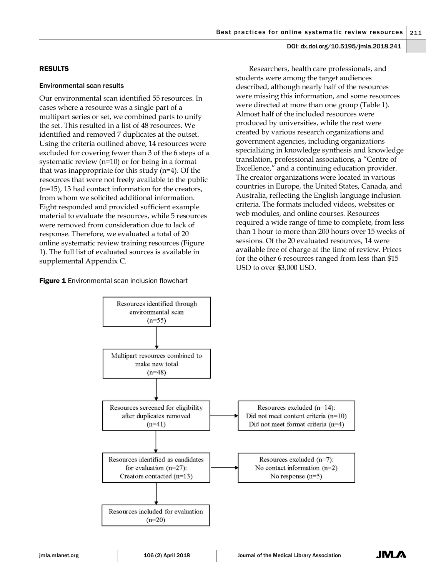# RESULTS

### Environmental scan results

Our environmental scan identified 55 resources. In cases where a resource was a single part of a multipart series or set, we combined parts to unify the set. This resulted in a list of 48 resources. We identified and removed 7 duplicates at the outset. Using the criteria outlined above, 14 resources were excluded for covering fewer than 3 of the 6 steps of a systematic review (n=10) or for being in a format that was inappropriate for this study (n=4). Of the resources that were not freely available to the public (n=15), 13 had contact information for the creators, from whom we solicited additional information. Eight responded and provided sufficient example material to evaluate the resources, while 5 resources were removed from consideration due to lack of response. Therefore, we evaluated a total of 20 online systematic review training resources (Figure 1). The full list of evaluated sources is available in supplemental Appendix C.

Figure 1 Environmental scan inclusion flowchart

Researchers, health care professionals, and students were among the target audiences described, although nearly half of the resources were missing this information, and some resources were directed at more than one group (Table 1). Almost half of the included resources were produced by universities, while the rest were created by various research organizations and government agencies, including organizations specializing in knowledge synthesis and knowledge translation, professional associations, a "Centre of Excellence," and a continuing education provider. The creator organizations were located in various countries in Europe, the United States, Canada, and Australia, reflecting the English language inclusion criteria. The formats included videos, websites or web modules, and online courses. Resources required a wide range of time to complete, from less than 1 hour to more than 200 hours over 15 weeks of sessions. Of the 20 evaluated resources, 14 were available free of charge at the time of review. Prices for the other 6 resources ranged from less than \$15 USD to over \$3,000 USD.

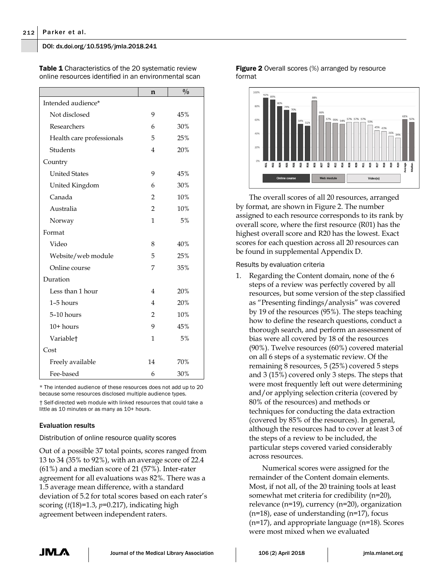|                           | n              | $\frac{0}{0}$ |  |  |  |  |  |
|---------------------------|----------------|---------------|--|--|--|--|--|
| Intended audience*        |                |               |  |  |  |  |  |
| Not disclosed             | 9              | 45%           |  |  |  |  |  |
| Researchers               | 6              | 30%           |  |  |  |  |  |
| Health care professionals | 5              | 25%           |  |  |  |  |  |
| Students                  | 4              | 20%           |  |  |  |  |  |
| Country                   |                |               |  |  |  |  |  |
| <b>United States</b>      | 9              | 45%           |  |  |  |  |  |
| United Kingdom            | 6              | 30%           |  |  |  |  |  |
| Canada                    | 2              | 10%           |  |  |  |  |  |
| Australia                 | $\overline{2}$ | 10%           |  |  |  |  |  |
| Norway                    | 1              | 5%            |  |  |  |  |  |
| Format                    |                |               |  |  |  |  |  |
| Video                     | 8              | 40%           |  |  |  |  |  |
| Website/web module        | 5              | 25%           |  |  |  |  |  |
| Online course             | 7              | 35%           |  |  |  |  |  |
| Duration                  |                |               |  |  |  |  |  |
| Less than 1 hour          | 4              | 20%           |  |  |  |  |  |
| 1-5 hours                 | 4              | 20%           |  |  |  |  |  |
| 5-10 hours                | 2              | 10%           |  |  |  |  |  |
| $10+$ hours               | 9              | 45%           |  |  |  |  |  |
| Variable <sup>+</sup>     | 1              | 5%            |  |  |  |  |  |
| Cost                      |                |               |  |  |  |  |  |
| Freely available          | 14             | 70%           |  |  |  |  |  |
| Fee-based                 | 6              | 30%           |  |  |  |  |  |

Table 1 Characteristics of the 20 systematic review online resources identified in an environmental scan

\* The intended audience of these resources does not add up to 20 because some resources disclosed multiple audience types.

† Self-directed web module with linked resources that could take a little as 10 minutes or as many as 10+ hours.

# Evaluation results

Distribution of online resource quality scores

Out of a possible 37 total points, scores ranged from 13 to 34 (35% to 92%), with an average score of 22.4 (61%) and a median score of 21 (57%). Inter-rater agreement for all evaluations was 82%. There was a 1.5 average mean difference, with a standard deviation of 5.2 for total scores based on each rater's scoring (*t*(18)=1.3, *p*=0.217), indicating high agreement between independent raters.

**Figure 2** Overall scores (%) arranged by resource format



The overall scores of all 20 resources, arranged by format, are shown in Figure 2. The number assigned to each resource corresponds to its rank by overall score, where the first resource (R01) has the highest overall score and R20 has the lowest. Exact scores for each question across all 20 resources can be found in supplemental Appendix D.

Results by evaluation criteria

1. Regarding the Content domain, none of the 6 steps of a review was perfectly covered by all resources, but some version of the step classified as "Presenting findings/analysis" was covered by 19 of the resources (95%). The steps teaching how to define the research questions, conduct a thorough search, and perform an assessment of bias were all covered by 18 of the resources (90%). Twelve resources (60%) covered material on all 6 steps of a systematic review. Of the remaining 8 resources, 5 (25%) covered 5 steps and 3 (15%) covered only 3 steps. The steps that were most frequently left out were determining and/or applying selection criteria (covered by 80% of the resources) and methods or techniques for conducting the data extraction (covered by 85% of the resources). In general, although the resources had to cover at least 3 of the steps of a review to be included, the particular steps covered varied considerably across resources.

Numerical scores were assigned for the remainder of the Content domain elements. Most, if not all, of the 20 training tools at least somewhat met criteria for credibility (n=20), relevance (n=19), currency (n=20), organization (n=18), ease of understanding (n=17), focus (n=17), and appropriate language (n=18). Scores were most mixed when we evaluated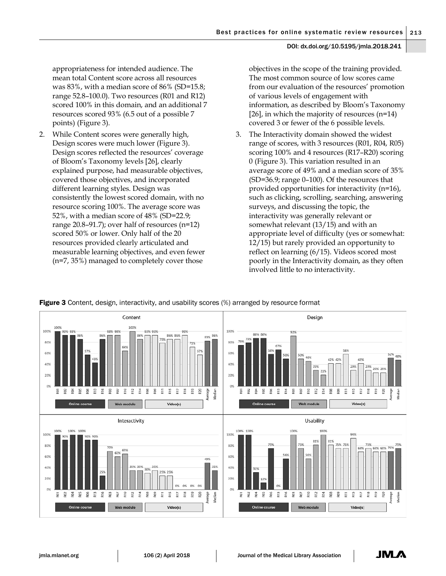appropriateness for intended audience. The mean total Content score across all resources was 83%, with a median score of 86% (SD=15.8; range 52.8–100.0). Two resources (R01 and R12) scored 100% in this domain, and an additional 7 resources scored 93% (6.5 out of a possible 7 points) (Figure 3).

2. While Content scores were generally high, Design scores were much lower (Figure 3). Design scores reflected the resources' coverage of Bloom's Taxonomy levels [26], clearly explained purpose, had measurable objectives, covered those objectives, and incorporated different learning styles. Design was consistently the lowest scored domain, with no resource scoring 100%. The average score was 52%, with a median score of 48% (SD=22.9; range 20.8–91.7); over half of resources (n=12) scored 50% or lower. Only half of the 20 resources provided clearly articulated and measurable learning objectives, and even fewer (n=7, 35%) managed to completely cover those

objectives in the scope of the training provided. The most common source of low scores came from our evaluation of the resources' promotion of various levels of engagement with information, as described by Bloom's Taxonomy [26], in which the majority of resources  $(n=14)$ covered 3 or fewer of the 6 possible levels.

3. The Interactivity domain showed the widest range of scores, with 3 resources (R01, R04, R05) scoring 100% and 4 resources (R17–R20) scoring 0 (Figure 3). This variation resulted in an average score of 49% and a median score of 35% (SD=36.9; range 0–100). Of the resources that provided opportunities for interactivity (n=16), such as clicking, scrolling, searching, answering surveys, and discussing the topic, the interactivity was generally relevant or somewhat relevant (13/15) and with an appropriate level of difficulty (yes or somewhat: 12/15) but rarely provided an opportunity to reflect on learning (6/15). Videos scored most poorly in the Interactivity domain, as they often involved little to no interactivity.



**Figure 3** Content, design, interactivity, and usability scores (%) arranged by resource format

JMLA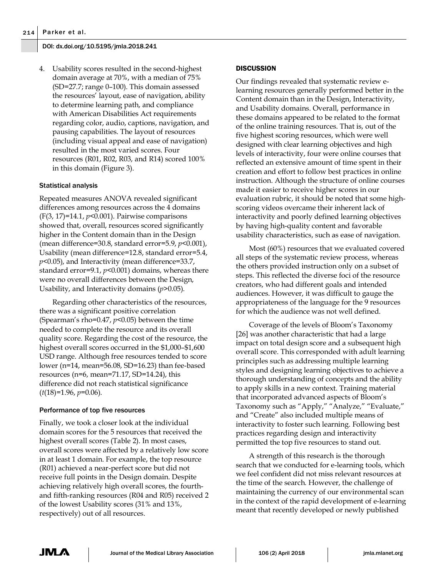4. Usability scores resulted in the second-highest domain average at 70%, with a median of 75% (SD=27.7; range 0–100). This domain assessed the resources' layout, ease of navigation, ability to determine learning path, and compliance with American Disabilities Act requirements regarding color, audio, captions, navigation, and pausing capabilities. The layout of resources (including visual appeal and ease of navigation) resulted in the most varied scores. Four resources (R01, R02, R03, and R14) scored 100% in this domain (Figure 3).

# Statistical analysis

Repeated measures ANOVA revealed significant differences among resources across the 4 domains (F(3, 17)=14.1, *p*<0.001). Pairwise comparisons showed that, overall, resources scored significantly higher in the Content domain than in the Design (mean difference=30.8, standard error=5.9, *p*<0.001), Usability (mean difference=12.8, standard error=5.4, *p*<0.05), and Interactivity (mean difference=33.7, standard error=9.1, *p*<0.001) domains, whereas there were no overall differences between the Design, Usability, and Interactivity domains (*p*>0.05).

Regarding other characteristics of the resources, there was a significant positive correlation (Spearman's rho=0.47, *p*<0.05) between the time needed to complete the resource and its overall quality score. Regarding the cost of the resource, the highest overall scores occurred in the \$1,000–\$1,600 USD range. Although free resources tended to score lower (n=14, mean=56.08, SD=16.23) than fee-based resources ( $n=6$ , mean=71.17, SD=14.24), this difference did not reach statistical significance (*t*(18)=1.96, *p*=0.06).

# Performance of top five resources

Finally, we took a closer look at the individual domain scores for the 5 resources that received the highest overall scores (Table 2). In most cases, overall scores were affected by a relatively low score in at least 1 domain. For example, the top resource (R01) achieved a near-perfect score but did not receive full points in the Design domain. Despite achieving relatively high overall scores, the fourthand fifth-ranking resources (R04 and R05) received 2 of the lowest Usability scores (31% and 13%, respectively) out of all resources.

# **DISCUSSION**

Our findings revealed that systematic review elearning resources generally performed better in the Content domain than in the Design, Interactivity, and Usability domains. Overall, performance in these domains appeared to be related to the format of the online training resources. That is, out of the five highest scoring resources, which were well designed with clear learning objectives and high levels of interactivity, four were online courses that reflected an extensive amount of time spent in their creation and effort to follow best practices in online instruction. Although the structure of online courses made it easier to receive higher scores in our evaluation rubric, it should be noted that some highscoring videos overcame their inherent lack of interactivity and poorly defined learning objectives by having high-quality content and favorable usability characteristics, such as ease of navigation.

Most (60%) resources that we evaluated covered all steps of the systematic review process, whereas the others provided instruction only on a subset of steps. This reflected the diverse foci of the resource creators, who had different goals and intended audiences. However, it was difficult to gauge the appropriateness of the language for the 9 resources for which the audience was not well defined.

Coverage of the levels of Bloom's Taxonomy [26] was another characteristic that had a large impact on total design score and a subsequent high overall score. This corresponded with adult learning principles such as addressing multiple learning styles and designing learning objectives to achieve a thorough understanding of concepts and the ability to apply skills in a new context. Training material that incorporated advanced aspects of Bloom's Taxonomy such as "Apply," "Analyze," "Evaluate," and "Create" also included multiple means of interactivity to foster such learning. Following best practices regarding design and interactivity permitted the top five resources to stand out.

A strength of this research is the thorough search that we conducted for e-learning tools, which we feel confident did not miss relevant resources at the time of the search. However, the challenge of maintaining the currency of our environmental scan in the context of the rapid development of e-learning meant that recently developed or newly published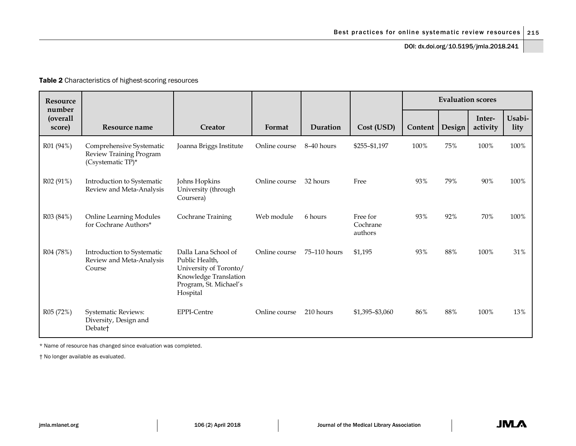# Table 2 Characteristics of highest-scoring resources

| <b>Resource</b><br>number |                                                                            |                                                                                                                                 |               |              |                                 | <b>Evaluation scores</b> |        |                    |                |
|---------------------------|----------------------------------------------------------------------------|---------------------------------------------------------------------------------------------------------------------------------|---------------|--------------|---------------------------------|--------------------------|--------|--------------------|----------------|
| (overall<br>score)        | Resource name                                                              | Creator                                                                                                                         | Format        | Duration     | Cost (USD)                      | Content                  | Design | Inter-<br>activity | Usabi-<br>lity |
| R01 (94%)                 | Comprehensive Systematic<br>Review Training Program<br>(Csystematic TP)*   | Joanna Briggs Institute                                                                                                         | Online course | 8-40 hours   | \$255-\$1,197                   | 100%                     | 75%    | 100%               | 100%           |
| R02 (91%)                 | Introduction to Systematic<br>Review and Meta-Analysis                     | Johns Hopkins<br>University (through<br>Coursera)                                                                               | Online course | 32 hours     | Free                            | 93%                      | 79%    | 90%                | 100%           |
| R03 (84%)                 | <b>Online Learning Modules</b><br>for Cochrane Authors*                    | Cochrane Training                                                                                                               | Web module    | 6 hours      | Free for<br>Cochrane<br>authors | 93%                      | 92%    | 70%                | 100%           |
| R04 (78%)                 | Introduction to Systematic<br>Review and Meta-Analysis<br>Course           | Dalla Lana School of<br>Public Health,<br>University of Toronto/<br>Knowledge Translation<br>Program, St. Michael's<br>Hospital | Online course | 75-110 hours | \$1,195                         | 93%                      | 88%    | 100%               | 31%            |
| R05 (72%)                 | <b>Systematic Reviews:</b><br>Diversity, Design and<br>Debate <sup>+</sup> | <b>EPPI-Centre</b>                                                                                                              | Online course | 210 hours    | \$1,395-\$3,060                 | 86%                      | 88%    | 100%               | 13%            |

\* Name of resource has changed since evaluation was completed.

† No longer available as evaluated.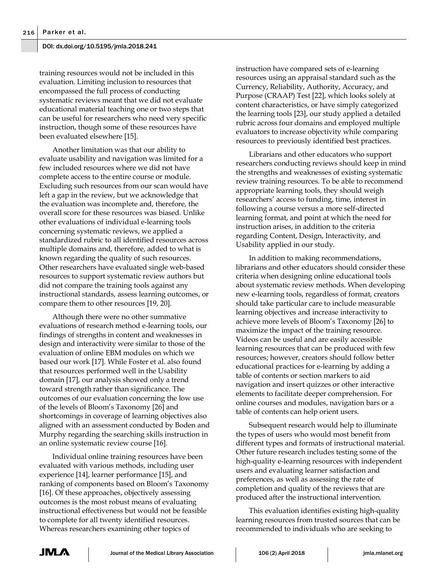training resources would not be included in this evaluation. Limiting inclusion to resources that encompassed the full process of conducting systematic reviews meant that we did not evaluate educational material teaching one or two steps that can be useful for researchers who need very specific instruction, though some of these resources have been evaluated elsewhere [15].

Another limitation was that our ability to evaluate usability and navigation was limited for a few included resources where we did not have complete access to the entire course or module. Excluding such resources from our scan would have left a gap in the review, but we acknowledge that the evaluation was incomplete and, therefore, the overall score for these resources was biased. Unlike other evaluations of individual e-learning tools concerning systematic reviews, we applied a standardized rubric to all identified resources across multiple domains and, therefore, added to what is known regarding the quality of such resources. Other researchers have evaluated single web-based resources to support systematic review authors but did not compare the training tools against any instructional standards, assess learning outcomes, or compare them to other resources [19, 20].

Although there were no other summative evaluations of research method e-learning tools, our findings of strengths in content and weaknesses in design and interactivity were similar to those of the evaluation of online EBM modules on which we based our work [17]. While Foster et al. also found that resources performed well in the Usability domain [17], our analysis showed only a trend toward strength rather than significance. The outcomes of our evaluation concerning the low use of the levels of Bloom's Taxonomy [26] and shortcomings in coverage of learning objectives also aligned with an assessment conducted by Boden and Murphy regarding the searching skills instruction in an online systematic review course [16].

Individual online training resources have been evaluated with various methods, including user experience [14], learner performance [15], and ranking of components based on Bloom's Taxonomy [16]. Of these approaches, objectively assessing outcomes is the most robust means of evaluating instructional effectiveness but would not be feasible to complete for all twenty identified resources. Whereas researchers examining other topics of

instruction have compared sets of e-learning resources using an appraisal standard such as the Currency, Reliability, Authority, Accuracy, and Purpose (CRAAP) Test [22], which looks solely at content characteristics, or have simply categorized the learning tools [23], our study applied a detailed rubric across four domains and employed multiple evaluators to increase objectivity while comparing resources to previously identified best practices.

Librarians and other educators who support researchers conducting reviews should keep in mind the strengths and weaknesses of existing systematic review training resources. To be able to recommend appropriate learning tools, they should weigh researchers' access to funding, time, interest in following a course versus a more self-directed learning format, and point at which the need for instruction arises, in addition to the criteria regarding Content, Design, Interactivity, and Usability applied in our study.

In addition to making recommendations, librarians and other educators should consider these criteria when designing online educational tools about systematic review methods. When developing new e-learning tools, regardless of format, creators should take particular care to include measurable learning objectives and increase interactivity to achieve more levels of Bloom's Taxonomy [26] to maximize the impact of the training resource. Videos can be useful and are easily accessible learning resources that can be produced with few resources; however, creators should follow better educational practices for e-learning by adding a table of contents or section markers to aid navigation and insert quizzes or other interactive elements to facilitate deeper comprehension. For online courses and modules, navigation bars or a table of contents can help orient users.

Subsequent research would help to illuminate the types of users who would most benefit from different types and formats of instructional material. Other future research includes testing some of the high-quality e-learning resources with independent users and evaluating learner satisfaction and preferences, as well as assessing the rate of completion and quality of the reviews that are produced after the instructional intervention.

This evaluation identifies existing high-quality learning resources from trusted sources that can be recommended to individuals who are seeking to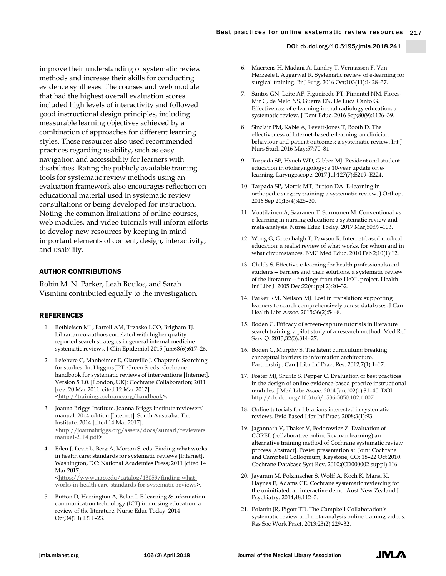improve their understanding of systematic review methods and increase their skills for conducting evidence syntheses. The courses and web module that had the highest overall evaluation scores included high levels of interactivity and followed good instructional design principles, including measurable learning objectives achieved by a combination of approaches for different learning styles. These resources also used recommended practices regarding usability, such as easy navigation and accessibility for learners with disabilities. Rating the publicly available training tools for systematic review methods using an evaluation framework also encourages reflection on educational material used in systematic review consultations or being developed for instruction. Noting the common limitations of online courses, web modules, and video tutorials will inform efforts to develop new resources by keeping in mind important elements of content, design, interactivity, and usability.

# AUTHOR CONTRIBUTIONS

Robin M. N. Parker, Leah Boulos, and Sarah Visintini contributed equally to the investigation.

#### **REFERENCES**

- 1. Rethlefsen ML, Farrell AM, Trzasko LCO, Brigham TJ. Librarian co-authors correlated with higher quality reported search strategies in general internal medicine systematic reviews. J Clin Epidemiol 2015 Jun;68(6):617–26.
- 2. Lefebvre C, Manheimer E, Glanville J. Chapter 6: Searching for studies. In: Higgins JPT, Green S, eds. Cochrane handbook for systematic reviews of interventions [Internet]. Version 5.1.0. [London, UK]: Cochrane Collaboration; 2011 [rev. 20 Mar 2011; cited 12 Mar 2017]. [<http://training.cochrane.org/handbook>](http://training.cochrane.org/handbook).
- 3. Joanna Briggs Institute. Joanna Briggs Institute reviewers' manual: 2014 edition [Internet]. South Australia: The Institute; 2014 [cited 14 Mar 2017]. [<http://joannabriggs.org/assets/docs/sumari/reviewers](http://joannabriggs.org/assets/docs/sumari/reviewersmanual-2014.pdf) [manual-2014.pdf>](http://joannabriggs.org/assets/docs/sumari/reviewersmanual-2014.pdf).
- 4. Eden J, Levit L, Berg A, Morton S, eds. Finding what works in health care: standards for systematic reviews [Internet]. Washington, DC: National Academies Press; 2011 [cited 14 Mar 2017]. [<https://www.nap.edu/catalog/13059/finding-what](https://www.nap.edu/catalog/13059/finding-what-works-in-health-care-standards-for-systematic-reviews)
	- [works-in-health-care-standards-for-systematic-reviews>](https://www.nap.edu/catalog/13059/finding-what-works-in-health-care-standards-for-systematic-reviews).
- 5. Button D, Harrington A, Belan I. E-learning & information communication technology (ICT) in nursing education: a review of the literature. Nurse Educ Today. 2014 Oct;34(10):1311–23.
- 6. Maertens H, Madani A, Landry T, Vermassen F, Van Herzeele I, Aggarwal R. Systematic review of e-learning for surgical training. Br J Surg. 2016 Oct;103(11):1428–37.
- 7. Santos GN, Leite AF, Figueiredo PT, Pimentel NM, Flores-Mir C, de Melo NS, Guerra EN, De Luca Canto G. Effectiveness of e-learning in oral radiology education: a systematic review. J Dent Educ. 2016 Sep;80(9):1126–39.
- 8. Sinclair PM, Kable A, Levett-Jones T, Booth D. The effectiveness of Internet-based e-learning on clinician behaviour and patient outcomes: a systematic review. Int J Nurs Stud. 2016 May;57:70–81.
- 9. Tarpada SP, Hsueh WD, Gibber MJ. Resident and student education in otolaryngology: a 10-year update on elearning. Laryngoscope. 2017 Jul;127(7):E219–E224.
- 10. Tarpada SP, Morris MT, Burton DA. E-learning in orthopedic surgery training: a systematic review. J Orthop. 2016 Sep 21;13(4):425–30.
- 11. Voutilainen A, Saaranen T, Sormunen M. Conventional vs. e-learning in nursing education: a systematic review and meta-analysis. Nurse Educ Today. 2017 Mar;50:97–103.
- 12. Wong G, Greenhalgh T, Pawson R. Internet-based medical education: a realist review of what works, for whom and in what circumstances. BMC Med Educ. 2010 Feb 2;10(1):12.
- 13. Childs S. Effective e-learning for health professionals and students—barriers and their solutions. a systematic review of the literature—findings from the HeXL project. Health Inf Libr J. 2005 Dec;22(suppl 2):20–32.
- 14. Parker RM, Neilson MJ. Lost in translation: supporting learners to search comprehensively across databases. J Can Health Libr Assoc. 2015;36(2):54–8.
- 15. Boden C. Efficacy of screen-capture tutorials in literature search training: a pilot study of a research method. Med Ref Serv Q. 2013;32(3):314–27.
- 16. Boden C, Murphy S. The latent curriculum: breaking conceptual barriers to information architecture. Partnership: Can J Libr Inf Pract Res. 2012;7(1):1–17.
- 17. Foster MJ, Shurtz S, Pepper C. Evaluation of best practices in the design of online evidence-based practice instructional modules. J Med Libr Assoc. 2014 Jan;102(1):31–40. DOI: [http://dx.doi.org/10.3163/1536-5050.102.1.007.](http://dx.doi.org/10.3163/1536-5050.102.1.007)
- 18. Online tutorials for librarians interested in systematic reviews. Evid Based Libr Inf Pract. 2008;3(1):93.
- 19. Jagannath V, Thaker V, Fedorowicz Z. Evaluation of COREL (collaborative online Revman learning) an alternative training method of Cochrane systematic review process [abstract]. Poster presentation at: Joint Cochrane and Campbell Colloquium; Keystone, CO; 18–22 Oct 2010. Cochrane Database Syst Rev. 2010;(CD000002 suppl):116.
- 20. Jayaram M, Polzmacher S, Wolff A, Koch K, Mansi K, Haynes E, Adams CE. Cochrane systematic reviewing for the uninitiated: an interactive demo. Aust New Zealand J Psychiatry. 2014;48:112–3.
- 21. Polanin JR, Pigott TD. The Campbell Collaboration's systematic review and meta-analysis online training videos. Res Soc Work Pract. 2013;23(2):229–32.